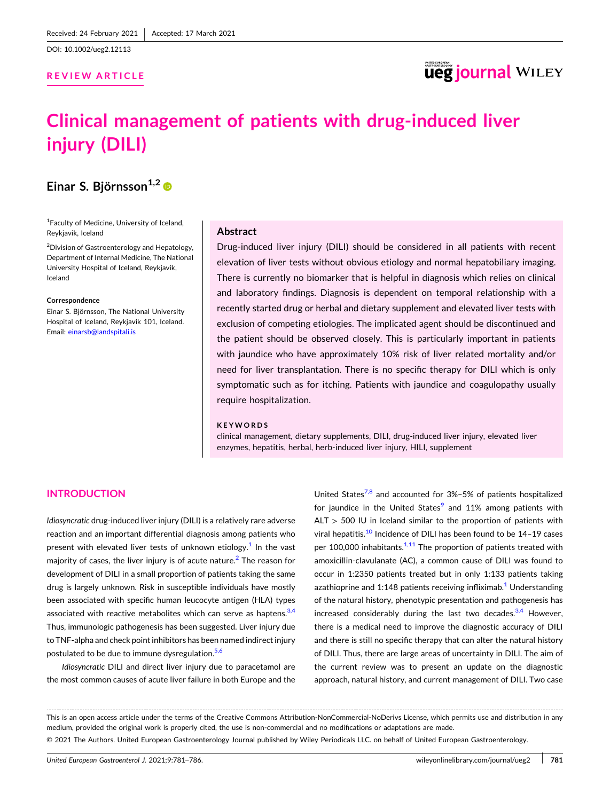DOI: [10.1002/ueg2.12113](https://doi.org/10.1002/ueg2.12113)

## **REVIEW ARTICLE**

## **ueg journal WILEY**

# **Clinical management of patients with drug‐induced liver injury (DILI)**

## **Einar S. Björnsson**<sup>1,2</sup>

1 Faculty of Medicine, University of Iceland, Reykjavik, Iceland

2 Division of Gastroenterology and Hepatology, Department of Internal Medicine, The National University Hospital of Iceland, Reykjavik, Iceland

#### **Correspondence**

Einar S. Björnsson, The National University Hospital of Iceland, Reykjavik 101, Iceland. Email: [einarsb@landspitali.is](mailto:einarsb@landspitali.is)

#### **Abstract**

Drug‐induced liver injury (DILI) should be considered in all patients with recent elevation of liver tests without obvious etiology and normal hepatobiliary imaging. There is currently no biomarker that is helpful in diagnosis which relies on clinical and laboratory findings. Diagnosis is dependent on temporal relationship with a recently started drug or herbal and dietary supplement and elevated liver tests with exclusion of competing etiologies. The implicated agent should be discontinued and the patient should be observed closely. This is particularly important in patients with jaundice who have approximately 10% risk of liver related mortality and/or need for liver transplantation. There is no specific therapy for DILI which is only symptomatic such as for itching. Patients with jaundice and coagulopathy usually require hospitalization.

#### **KEYWORDS**

clinical management, dietary supplements, DILI, drug‐induced liver injury, elevated liver enzymes, hepatitis, herbal, herb-induced liver injury, HILI, supplement

## **INTRODUCTION**

*Idiosyncratic* drug‐induced liver injury (DILI) is a relatively rare adverse reaction and an important differential diagnosis among patients who present with elevated liver tests of unknown etiology.<sup>[1](#page-4-0)</sup> In the vast majority of cases, the liver injury is of acute nature. $2$  The reason for development of DILI in a small proportion of patients taking the same drug is largely unknown. Risk in susceptible individuals have mostly been associated with specific human leucocyte antigen (HLA) types associated with reactive metabolites which can serve as haptens.<sup>3,4</sup> Thus, immunologic pathogenesis has been suggested. Liver injury due to TNF-alpha and check point inhibitors has been named indirect injury postulated to be due to immune dysregulation.<sup>[5,6](#page-4-0)</sup>

*Idiosyncratic* DILI and direct liver injury due to paracetamol are the most common causes of acute liver failure in both Europe and the

United States<sup>[7,8](#page-4-0)</sup> and accounted for  $3\% - 5\%$  of patients hospitalized for jaundice in the United States<sup>[9](#page-4-0)</sup> and  $11\%$  among patients with  $ALT > 500$  IU in Iceland similar to the proportion of patients with viral hepatitis.<sup>[10](#page-4-0)</sup> Incidence of DILI has been found to be 14-19 cases per 100,000 inhabitants. $1/11$  The proportion of patients treated with amoxicillin‐clavulanate (AC), a common cause of DILI was found to occur in 1:2350 patients treated but in only 1:133 patients taking azathioprine and [1](#page-4-0):148 patients receiving infliximab.<sup>1</sup> Understanding of the natural history, phenotypic presentation and pathogenesis has increased considerably during the last two decades. $3,4$  However, there is a medical need to improve the diagnostic accuracy of DILI and there is still no specific therapy that can alter the natural history of DILI. Thus, there are large areas of uncertainty in DILI. The aim of the current review was to present an update on the diagnostic approach, natural history, and current management of DILI. Two case

This is an open access article under the terms of the Creative Commons Attribution‐NonCommercial‐NoDerivs License, which permits use and distribution in any medium, provided the original work is properly cited, the use is non‐commercial and no modifications or adaptations are made. © 2021 The Authors. United European Gastroenterology Journal published by Wiley Periodicals LLC. on behalf of United European Gastroenterology.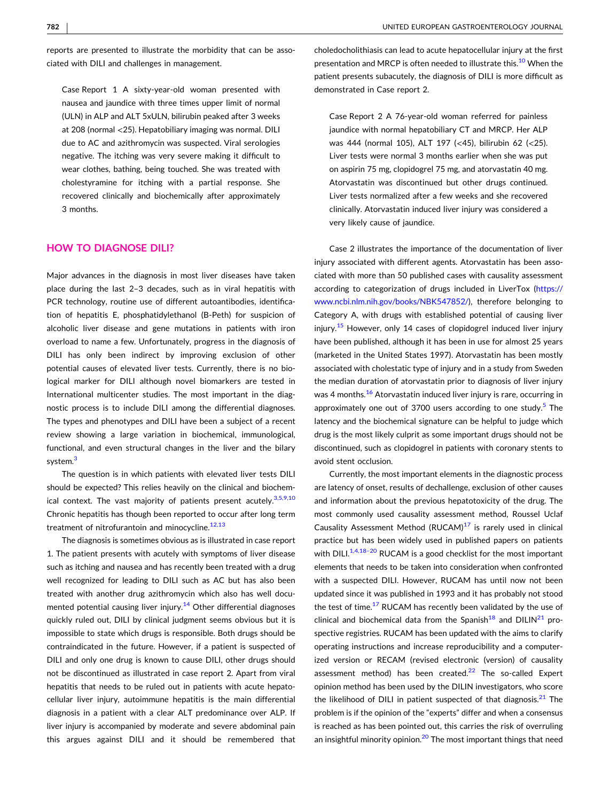reports are presented to illustrate the morbidity that can be associated with DILI and challenges in management.

Case Report 1 A sixty‐year‐old woman presented with nausea and jaundice with three times upper limit of normal (ULN) in ALP and ALT 5xULN, bilirubin peaked after 3 weeks at 208 (normal <25). Hepatobiliary imaging was normal. DILI due to AC and azithromycin was suspected. Viral serologies negative. The itching was very severe making it difficult to wear clothes, bathing, being touched. She was treated with cholestyramine for itching with a partial response. She recovered clinically and biochemically after approximately 3 months.

#### **HOW TO DIAGNOSE DILI?**

Major advances in the diagnosis in most liver diseases have taken place during the last 2–3 decades, such as in viral hepatitis with PCR technology, routine use of different autoantibodies, identification of hepatitis E, phosphatidylethanol (B‐Peth) for suspicion of alcoholic liver disease and gene mutations in patients with iron overload to name a few. Unfortunately, progress in the diagnosis of DILI has only been indirect by improving exclusion of other potential causes of elevated liver tests. Currently, there is no biological marker for DILI although novel biomarkers are tested in International multicenter studies. The most important in the diagnostic process is to include DILI among the differential diagnoses. The types and phenotypes and DILI have been a subject of a recent review showing a large variation in biochemical, immunological, functional, and even structural changes in the liver and the bilary system.<sup>3</sup>

The question is in which patients with elevated liver tests DILI should be expected? This relies heavily on the clinical and biochemical context. The vast majority of patients present acutely.  $3,5,9,10$ Chronic hepatitis has though been reported to occur after long term treatment of nitrofurantoin and minocycline. $12,13$ 

The diagnosis is sometimes obvious as is illustrated in case report 1. The patient presents with acutely with symptoms of liver disease such as itching and nausea and has recently been treated with a drug well recognized for leading to DILI such as AC but has also been treated with another drug azithromycin which also has well docu-mented potential causing liver injury.<sup>[14](#page-5-0)</sup> Other differential diagnoses quickly ruled out, DILI by clinical judgment seems obvious but it is impossible to state which drugs is responsible. Both drugs should be contraindicated in the future. However, if a patient is suspected of DILI and only one drug is known to cause DILI, other drugs should not be discontinued as illustrated in case report 2. Apart from viral hepatitis that needs to be ruled out in patients with acute hepatocellular liver injury, autoimmune hepatitis is the main differential diagnosis in a patient with a clear ALT predominance over ALP. If liver injury is accompanied by moderate and severe abdominal pain this argues against DILI and it should be remembered that

choledocholithiasis can lead to acute hepatocellular injury at the first presentation and MRCP is often needed to illustrate this.<sup>10</sup> When the patient presents subacutely, the diagnosis of DILI is more difficult as demonstrated in Case report 2.

Case Report 2 A 76‐year‐old woman referred for painless jaundice with normal hepatobiliary CT and MRCP. Her ALP was 444 (normal 105), ALT 197 (<45), bilirubin 62 (<25). Liver tests were normal 3 months earlier when she was put on aspirin 75 mg, clopidogrel 75 mg, and atorvastatin 40 mg. Atorvastatin was discontinued but other drugs continued. Liver tests normalized after a few weeks and she recovered clinically. Atorvastatin induced liver injury was considered a very likely cause of jaundice.

Case 2 illustrates the importance of the documentation of liver injury associated with different agents. Atorvastatin has been associated with more than 50 published cases with causality assessment according to categorization of drugs included in LiverTox [\(https://](https://www.ncbi.nlm.nih.gov/books/NBK547852/) [www.ncbi.nlm.nih.gov/books/NBK547852/](https://www.ncbi.nlm.nih.gov/books/NBK547852/)), therefore belonging to Category A, with drugs with established potential of causing liver injury.<sup>[15](#page-5-0)</sup> However, only 14 cases of clopidogrel induced liver injury have been published, although it has been in use for almost 25 years (marketed in the United States 1997). Atorvastatin has been mostly associated with cholestatic type of injury and in a study from Sweden the median duration of atorvastatin prior to diagnosis of liver injury was 4 months.<sup>[16](#page-5-0)</sup> Atorvastatin induced liver injury is rare, occurring in approximately one out of 3700 users according to one study. $5$  The latency and the biochemical signature can be helpful to judge which drug is the most likely culprit as some important drugs should not be discontinued, such as clopidogrel in patients with coronary stents to avoid stent occlusion.

Currently, the most important elements in the diagnostic process are latency of onset, results of dechallenge, exclusion of other causes and information about the previous hepatotoxicity of the drug. The most commonly used causality assessment method, Roussel Uclaf Causality Assessment Method  $(RUCAM)^{17}$  $(RUCAM)^{17}$  $(RUCAM)^{17}$  is rarely used in clinical practice but has been widely used in published papers on patients with DILI. $^{1,4,18-20}$  RUCAM is a good checklist for the most important elements that needs to be taken into consideration when confronted with a suspected DILI. However, RUCAM has until now not been updated since it was published in 1993 and it has probably not stood the test of time. $17$  RUCAM has recently been validated by the use of clinical and biochemical data from the Spanish<sup>[18](#page-5-0)</sup> and DILIN<sup>[21](#page-5-0)</sup> prospective registries. RUCAM has been updated with the aims to clarify operating instructions and increase reproducibility and a computerized version or RECAM (revised electronic (version) of causality assessment method) has been created. $^{22}$  The so-called Expert opinion method has been used by the DILIN investigators, who score the likelihood of DILI in patient suspected of that diagnosis. $21$  The problem is if the opinion of the "experts" differ and when a consensus is reached as has been pointed out, this carries the risk of overruling an insightful minority opinion.<sup>[20](#page-5-0)</sup> The most important things that need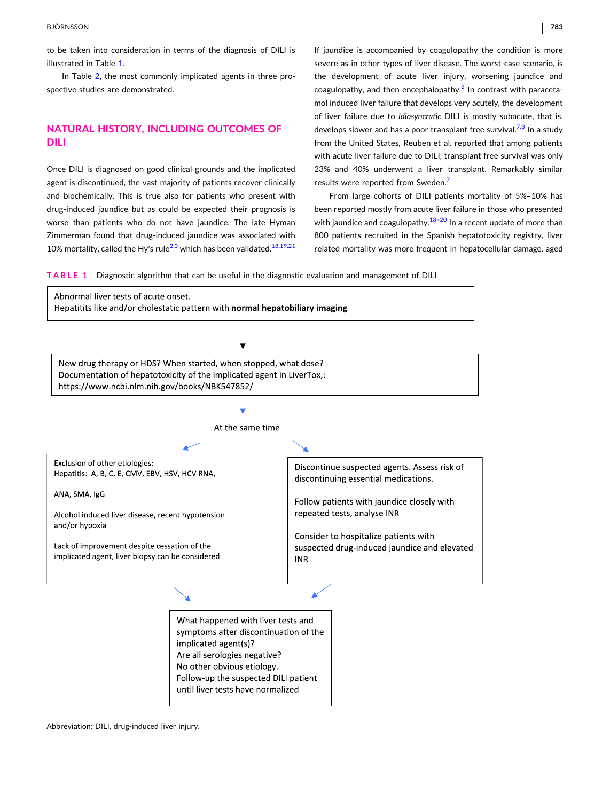to be taken into consideration in terms of the diagnosis of DILI is illustrated in Table 1.

In Table [2](#page-3-0), the most commonly implicated agents in three prospective studies are demonstrated.

## **NATURAL HISTORY, INCLUDING OUTCOMES OF DILI**

Once DILI is diagnosed on good clinical grounds and the implicated agent is discontinued, the vast majority of patients recover clinically and biochemically. This is true also for patients who present with drug‐induced jaundice but as could be expected their prognosis is worse than patients who do not have jaundice. The late Hyman Zimmerman found that drug‐induced jaundice was associated with 10% mortality, called the Hy's rule<sup>[2,3](#page-4-0)</sup> which has been validated.<sup>[18,19,21](#page-5-0)</sup>

If jaundice is accompanied by coagulopathy the condition is more severe as in other types of liver disease. The worst-case scenario, is the development of acute liver injury, worsening jaundice and coagulopathy, and then encephalopathy. $8$  In contrast with paracetamol induced liver failure that develops very acutely, the development of liver failure due to *idiosyncratic* DILI is mostly subacute, that is, develops slower and has a poor transplant free survival.<sup>[7,8](#page-4-0)</sup> In a study from the United States, Reuben et al. reported that among patients with acute liver failure due to DILI, transplant free survival was only 23% and 40% underwent a liver transplant. Remarkably similar results were reported from Sweden.<sup>[7](#page-4-0)</sup>

From large cohorts of DILI patients mortality of 5%–10% has been reported mostly from acute liver failure in those who presented with jaundice and coagulopathy. $18-20$  In a recent update of more than 800 patients recruited in the Spanish hepatotoxicity registry, liver related mortality was more frequent in hepatocellular damage, aged

**TABLE 1** Diagnostic algorithm that can be useful in the diagnostic evaluation and management of DILI



Abbreviation: DILI, drug‐induced liver injury.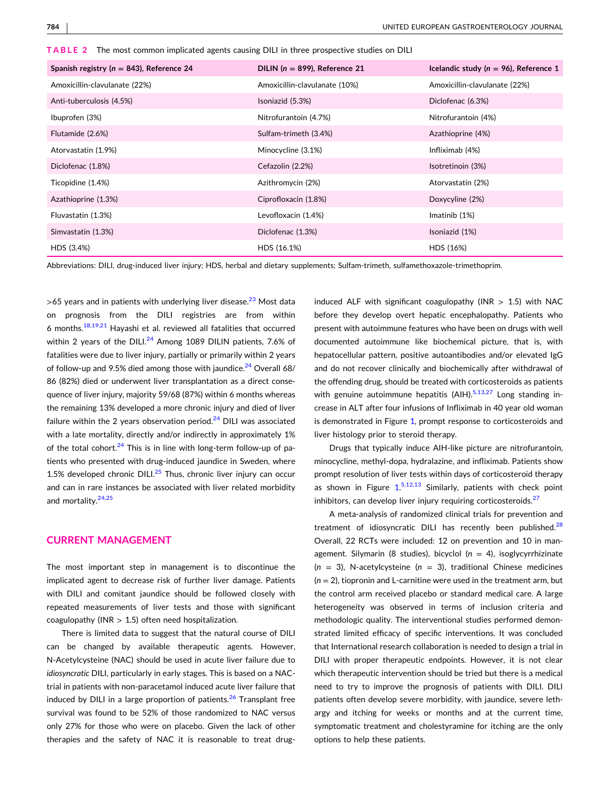<span id="page-3-0"></span>

|  |  |  |  | <code>TABLE 2 –</code> The most common implicated agents causing DILI in three prospective studies on DILI $\,$ |  |  |
|--|--|--|--|-----------------------------------------------------------------------------------------------------------------|--|--|
|--|--|--|--|-----------------------------------------------------------------------------------------------------------------|--|--|

| Spanish registry ( $n = 843$ ), Reference 24 | DILIN ( $n = 899$ ), Reference 21 | Icelandic study ( $n = 96$ ), Reference 1 |
|----------------------------------------------|-----------------------------------|-------------------------------------------|
| Amoxicillin-clavulanate (22%)                | Amoxicillin-clavulanate (10%)     | Amoxicillin-clavulanate (22%)             |
| Anti-tuberculosis (4.5%)                     | Isoniazid (5.3%)                  | Diclofenac (6.3%)                         |
| Ibuprofen (3%)                               | Nitrofurantoin (4.7%)             | Nitrofurantoin (4%)                       |
| Flutamide (2.6%)                             | Sulfam-trimeth (3.4%)             | Azathioprine (4%)                         |
| Atorvastatin (1.9%)                          | Minocycline (3.1%)                | Infliximab (4%)                           |
| Diclofenac (1.8%)                            | Cefazolin (2.2%)                  | Isotretinoin (3%)                         |
| Ticopidine (1.4%)                            | Azithromycin (2%)                 | Atorvastatin (2%)                         |
| Azathioprine (1.3%)                          | Ciprofloxacin (1.8%)              | Doxycyline (2%)                           |
| Fluvastatin (1.3%)                           | Levofloxacin (1.4%)               | Imatinib $(1%)$                           |
| Simvastatin (1.3%)                           | Diclofenac (1.3%)                 | Isoniazid (1%)                            |
| HDS (3.4%)                                   | HDS (16.1%)                       | HDS (16%)                                 |

Abbreviations: DILI, drug‐induced liver injury; HDS, herbal and dietary supplements; Sulfam‐trimeth, sulfamethoxazole‐trimethoprim.

 $>$ 65 years and in patients with underlying liver disease.<sup>[23](#page-5-0)</sup> Most data on prognosis from the DILI registries are from within 6 months. $18,19,21$  Hayashi et al. reviewed all fatalities that occurred within 2 years of the DILI. $^{24}$  $^{24}$  $^{24}$  Among 1089 DILIN patients, 7.6% of fatalities were due to liver injury, partially or primarily within 2 years of follow-up and 9.5% died among those with jaundice. $24$  Overall 68/ 86 (82%) died or underwent liver transplantation as a direct consequence of liver injury, majority 59/68 (87%) within 6 months whereas the remaining 13% developed a more chronic injury and died of liver failure within the 2 years observation period. $24$  DILI was associated with a late mortality, directly and/or indirectly in approximately 1% of the total cohort. $^{24}$  This is in line with long-term follow-up of patients who presented with drug‐induced jaundice in Sweden, where 1.5% developed chronic DILI. $^{25}$  Thus, chronic liver injury can occur and can in rare instances be associated with liver related morbidity and mortality.<sup>[24,25](#page-5-0)</sup>

## **CURRENT MANAGEMENT**

The most important step in management is to discontinue the implicated agent to decrease risk of further liver damage. Patients with DILI and comitant jaundice should be followed closely with repeated measurements of liver tests and those with significant coagulopathy (INR  $> 1.5$ ) often need hospitalization.

There is limited data to suggest that the natural course of DILI can be changed by available therapeutic agents. However, N‐Acetylcysteine (NAC) should be used in acute liver failure due to *idiosyncratic* DILI, particularly in early stages. This is based on a NAC‐ trial in patients with non‐paracetamol induced acute liver failure that induced by DILI in a large proportion of patients. $26$  Transplant free survival was found to be 52% of those randomized to NAC versus only 27% for those who were on placebo. Given the lack of other therapies and the safety of NAC it is reasonable to treat drug‐

induced ALF with significant coagulopathy (INR  $> 1.5$ ) with NAC before they develop overt hepatic encephalopathy. Patients who present with autoimmune features who have been on drugs with well documented autoimmune like biochemical picture, that is, with hepatocellular pattern, positive autoantibodies and/or elevated IgG and do not recover clinically and biochemically after withdrawal of the offending drug, should be treated with corticosteroids as patients with genuine autoimmune hepatitis  $(AIH)$ .<sup>5,13,27</sup> Long standing increase in ALT after four infusions of Infliximab in 40 year old woman is demonstrated in Figure [1,](#page-4-0) prompt response to corticosteroids and liver histology prior to steroid therapy.

Drugs that typically induce AIH‐like picture are nitrofurantoin, minocycline, methyl‐dopa, hydralazine, and infliximab. Patients show prompt resolution of liver tests within days of corticosteroid therapy as shown in Figure  $1.5 \times 12.13$  $1.5 \times 12.13$  Similarly, patients with check point inhibitors, can develop liver injury requiring corticosteroids. $27$ 

A meta‐analysis of randomized clinical trials for prevention and treatment of idiosyncratic DILI has recently been published. $^{28}$  $^{28}$  $^{28}$ Overall, 22 RCTs were included: 12 on prevention and 10 in management. Silymarin (8 studies), bicyclol (*n* = 4), isoglycyrrhizinate (*n* = 3), N‐acetylcysteine (*n* = 3), traditional Chinese medicines (*n* = 2), tiopronin and L‐carnitine were used in the treatment arm, but the control arm received placebo or standard medical care. A large heterogeneity was observed in terms of inclusion criteria and methodologic quality. The interventional studies performed demonstrated limited efficacy of specific interventions. It was concluded that International research collaboration is needed to design a trial in DILI with proper therapeutic endpoints. However, it is not clear which therapeutic intervention should be tried but there is a medical need to try to improve the prognosis of patients with DILI. DILI patients often develop severe morbidity, with jaundice, severe lethargy and itching for weeks or months and at the current time, symptomatic treatment and cholestyramine for itching are the only options to help these patients.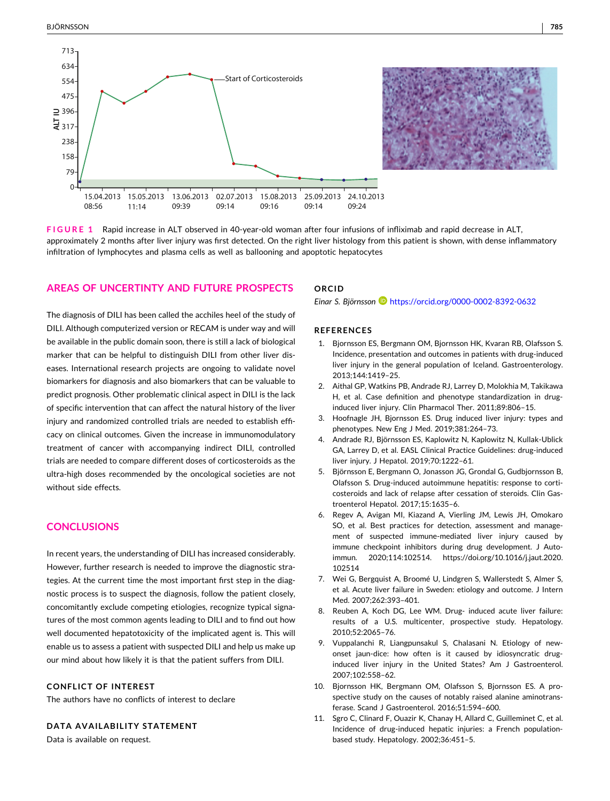<span id="page-4-0"></span>

**FIGURE 1** Rapid increase in ALT observed in 40‐year‐old woman after four infusions of infliximab and rapid decrease in ALT, approximately 2 months after liver injury was first detected. On the right liver histology from this patient is shown, with dense inflammatory infiltration of lymphocytes and plasma cells as well as ballooning and apoptotic hepatocytes

## **AREAS OF UNCERTINTY AND FUTURE PROSPECTS**

The diagnosis of DILI has been called the acchiles heel of the study of DILI. Although computerized version or RECAM is under way and will be available in the public domain soon, there is still a lack of biological marker that can be helpful to distinguish DILI from other liver diseases. International research projects are ongoing to validate novel biomarkers for diagnosis and also biomarkers that can be valuable to predict prognosis. Other problematic clinical aspect in DILI is the lack of specific intervention that can affect the natural history of the liver injury and randomized controlled trials are needed to establish efficacy on clinical outcomes. Given the increase in immunomodulatory treatment of cancer with accompanying indirect DILI, controlled trials are needed to compare different doses of corticosteroids as the ultra‐high doses recommended by the oncological societies are not without side effects.

## **CONCLUSIONS**

In recent years, the understanding of DILI has increased considerably. However, further research is needed to improve the diagnostic strategies. At the current time the most important first step in the diagnostic process is to suspect the diagnosis, follow the patient closely, concomitantly exclude competing etiologies, recognize typical signatures of the most common agents leading to DILI and to find out how well documented hepatotoxicity of the implicated agent is. This will enable us to assess a patient with suspected DILI and help us make up our mind about how likely it is that the patient suffers from DILI.

#### **CONFLICT OF INTEREST**

The authors have no conflicts of interest to declare

#### **DATA AVAILABILITY STATEMENT**

Data is available on request.

### **ORCID**

*Einar S. Björnsson* <https://orcid.org/0000-0002-8392-0632>

#### **REFERENCES**

- 1. Bjornsson ES, Bergmann OM, Bjornsson HK, Kvaran RB, Olafsson S. Incidence, presentation and outcomes in patients with drug‐induced liver injury in the general population of Iceland. Gastroenterology. 2013;144:1419–25.
- 2. Aithal GP, Watkins PB, Andrade RJ, Larrey D, Molokhia M, Takikawa H, et al. Case definition and phenotype standardization in drug‐ induced liver injury. Clin Pharmacol Ther. 2011;89:806–15.
- 3. Hoofnagle JH, Bjornsson ES. Drug induced liver injury: types and phenotypes. New Eng J Med. 2019;381:264–73.
- 4. Andrade RJ, Björnsson ES, Kaplowitz N, Kaplowitz N, Kullak‐Ublick GA, Larrey D, et al. EASL Clinical Practice Guidelines: drug‐induced liver injury. J Hepatol. 2019;70:1222–61.
- 5. Björnsson E, Bergmann O, Jonasson JG, Grondal G, Gudbjornsson B, Olafsson S. Drug‐induced autoimmune hepatitis: response to corticosteroids and lack of relapse after cessation of steroids. Clin Gastroenterol Hepatol. 2017;15:1635–6.
- 6. Regev A, Avigan MI, Kiazand A, Vierling JM, Lewis JH, Omokaro SO, et al. Best practices for detection, assessment and management of suspected immune‐mediated liver injury caused by immune checkpoint inhibitors during drug development. J Autoimmun. 2020;114:102514. [https://doi.org/10.1016/j.jaut.2020.](https://doi.org/10.1016/j.jaut.2020.102514) [102514](https://doi.org/10.1016/j.jaut.2020.102514)
- 7. Wei G, Bergquist A, Broomé U, Lindgren S, Wallerstedt S, Almer S, et al. Acute liver failure in Sweden: etiology and outcome. J Intern Med. 2007;262:393–401.
- 8. Reuben A, Koch DG, Lee WM. Drug- induced acute liver failure: results of a U.S. multicenter, prospective study. Hepatology. 2010;52:2065–76.
- 9. Vuppalanchi R, Liangpunsakul S, Chalasani N. Etiology of newonset jaun‐dice: how often is it caused by idiosyncratic drug‐ induced liver injury in the United States? Am J Gastroenterol. 2007;102:558–62.
- 10. Bjornsson HK, Bergmann OM, Olafsson S, Bjornsson ES. A prospective study on the causes of notably raised alanine aminotransferase. Scand J Gastroenterol. 2016;51:594–600.
- 11. Sgro C, Clinard F, Ouazir K, Chanay H, Allard C, Guilleminet C, et al. Incidence of drug‐induced hepatic injuries: a French population‐ based study. Hepatology. 2002;36:451–5.